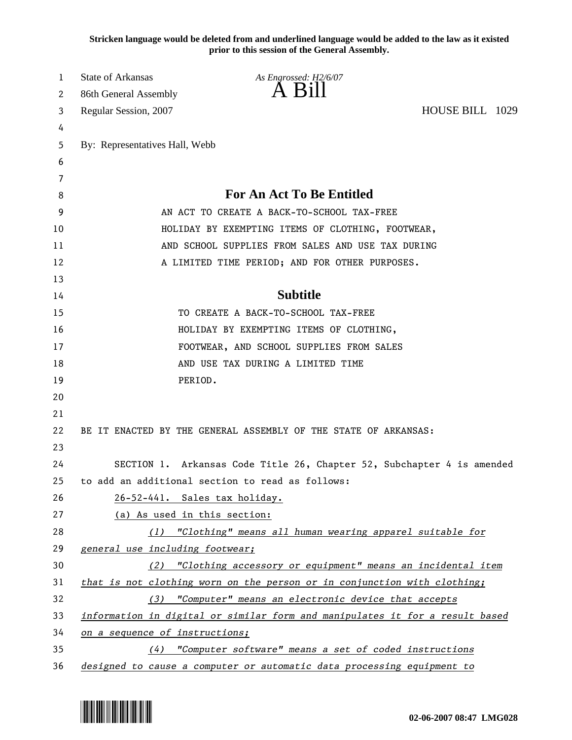**Stricken language would be deleted from and underlined language would be added to the law as it existed prior to this session of the General Assembly.**

| 1  | <b>State of Arkansas</b>                                                     | As Engrossed: H2/6/07                                                    |                 |  |
|----|------------------------------------------------------------------------------|--------------------------------------------------------------------------|-----------------|--|
| 2  | 86th General Assembly                                                        | $A$ $B1II$                                                               |                 |  |
| 3  | Regular Session, 2007                                                        |                                                                          | HOUSE BILL 1029 |  |
| 4  |                                                                              |                                                                          |                 |  |
| 5  | By: Representatives Hall, Webb                                               |                                                                          |                 |  |
| 6  |                                                                              |                                                                          |                 |  |
| 7  |                                                                              |                                                                          |                 |  |
| 8  |                                                                              | <b>For An Act To Be Entitled</b>                                         |                 |  |
| 9  |                                                                              | AN ACT TO CREATE A BACK-TO-SCHOOL TAX-FREE                               |                 |  |
| 10 |                                                                              | HOLIDAY BY EXEMPTING ITEMS OF CLOTHING, FOOTWEAR,                        |                 |  |
| 11 |                                                                              | AND SCHOOL SUPPLIES FROM SALES AND USE TAX DURING                        |                 |  |
| 12 |                                                                              | A LIMITED TIME PERIOD; AND FOR OTHER PURPOSES.                           |                 |  |
| 13 |                                                                              |                                                                          |                 |  |
| 14 |                                                                              | <b>Subtitle</b>                                                          |                 |  |
| 15 |                                                                              | TO CREATE A BACK-TO-SCHOOL TAX-FREE                                      |                 |  |
| 16 |                                                                              | HOLIDAY BY EXEMPTING ITEMS OF CLOTHING,                                  |                 |  |
| 17 |                                                                              | FOOTWEAR, AND SCHOOL SUPPLIES FROM SALES                                 |                 |  |
| 18 |                                                                              | AND USE TAX DURING A LIMITED TIME                                        |                 |  |
| 19 |                                                                              | PERIOD.                                                                  |                 |  |
| 20 |                                                                              |                                                                          |                 |  |
| 21 |                                                                              |                                                                          |                 |  |
| 22 |                                                                              | BE IT ENACTED BY THE GENERAL ASSEMBLY OF THE STATE OF ARKANSAS:          |                 |  |
| 23 |                                                                              |                                                                          |                 |  |
| 24 |                                                                              | SECTION 1. Arkansas Code Title 26, Chapter 52, Subchapter 4 is amended   |                 |  |
| 25 |                                                                              | to add an additional section to read as follows:                         |                 |  |
| 26 |                                                                              | 26-52-441. Sales tax holiday.                                            |                 |  |
| 27 | (a) As used in this section:                                                 |                                                                          |                 |  |
| 28 |                                                                              | $(1)$ "Clothing" means all human wearing apparel suitable for            |                 |  |
| 29 | general use including footwear;                                              |                                                                          |                 |  |
| 30 |                                                                              | (2) "Clothing accessory or equipment" means an incidental item           |                 |  |
| 31 |                                                                              | that is not clothing worn on the person or in conjunction with clothing; |                 |  |
| 32 | (3)                                                                          | "Computer" means an electronic device that accepts                       |                 |  |
| 33 | information in digital or similar form and manipulates it for a result based |                                                                          |                 |  |
| 34 | on a sequence of instructions;                                               |                                                                          |                 |  |
| 35 | (4)                                                                          | "Computer software" means a set of coded instructions                    |                 |  |
| 36 |                                                                              | designed to cause a computer or automatic data processing equipment to   |                 |  |

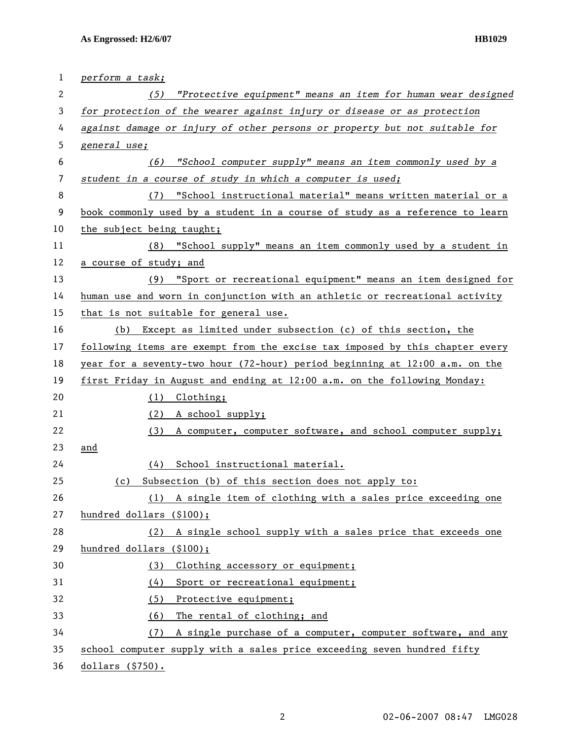| 1  | perform a task;                                                              |  |  |
|----|------------------------------------------------------------------------------|--|--|
| 2  | "Protective equipment" means an item for human wear designed<br>(5)          |  |  |
| 3  | for protection of the wearer against injury or disease or as protection      |  |  |
| 4  | against damage or injury of other persons or property but not suitable for   |  |  |
| 5  | general use;                                                                 |  |  |
| 6  | "School computer supply" means an item commonly used by a<br>(6)             |  |  |
| 7  | student in a course of study in which a computer is used;                    |  |  |
| 8  | "School instructional material" means written material or a<br>(7)           |  |  |
| 9  | book commonly used by a student in a course of study as a reference to learn |  |  |
| 10 | the subject being taught;                                                    |  |  |
| 11 | (8) "School supply" means an item commonly used by a student in              |  |  |
| 12 | a course of study; and                                                       |  |  |
| 13 | (9) "Sport or recreational equipment" means an item designed for             |  |  |
| 14 | human use and worn in conjunction with an athletic or recreational activity  |  |  |
| 15 | that is not suitable for general use.                                        |  |  |
| 16 | (b) Except as limited under subsection (c) of this section, the              |  |  |
| 17 | following items are exempt from the excise tax imposed by this chapter every |  |  |
| 18 | year for a seventy-two hour (72-hour) period beginning at 12:00 a.m. on the  |  |  |
| 19 | first Friday in August and ending at 12:00 a.m. on the following Monday:     |  |  |
| 20 | (1) Clothing;                                                                |  |  |
| 21 | (2) A school supply;                                                         |  |  |
| 22 | (3) A computer, computer software, and school computer supply;               |  |  |
| 23 | and                                                                          |  |  |
| 24 | School instructional material.<br>(4)                                        |  |  |
| 25 | Subsection (b) of this section does not apply to:<br>(c)                     |  |  |
| 26 | A single item of clothing with a sales price exceeding one<br>(1)            |  |  |
| 27 | hundred dollars (\$100);                                                     |  |  |
| 28 | A single school supply with a sales price that exceeds one<br>(2)            |  |  |
| 29 | hundred dollars (\$100);                                                     |  |  |
| 30 | Clothing accessory or equipment;<br>(3)                                      |  |  |
| 31 | Sport or recreational equipment;<br>(4)                                      |  |  |
| 32 | (5)<br>Protective equipment;                                                 |  |  |
| 33 | (6)<br>The rental of clothing; and                                           |  |  |
| 34 | A single purchase of a computer, computer software, and any<br>(7)           |  |  |
| 35 | school computer supply with a sales price exceeding seven hundred fifty      |  |  |
| 36 | dollars $( $750)$ .                                                          |  |  |